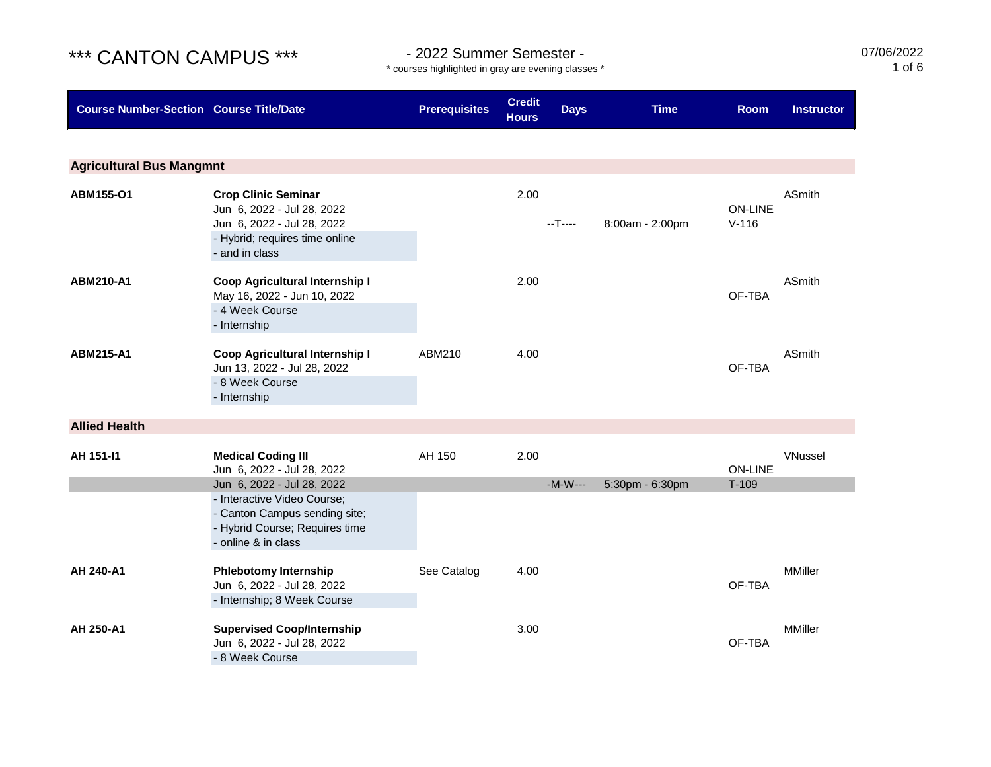\* courses highlighted in gray are evening classes \*

07/06/2022 1 of 6

| <b>Course Number-Section Course Title/Date</b> |                                                                                                                                                     | <b>Prerequisites</b> | <b>Credit</b><br><b>Hours</b> | <b>Days</b> | <b>Time</b>     | <b>Room</b>                 | <b>Instructor</b> |
|------------------------------------------------|-----------------------------------------------------------------------------------------------------------------------------------------------------|----------------------|-------------------------------|-------------|-----------------|-----------------------------|-------------------|
|                                                |                                                                                                                                                     |                      |                               |             |                 |                             |                   |
| <b>Agricultural Bus Mangmnt</b>                |                                                                                                                                                     |                      |                               |             |                 |                             |                   |
| ABM155-O1                                      | <b>Crop Clinic Seminar</b><br>Jun 6, 2022 - Jul 28, 2022<br>Jun 6, 2022 - Jul 28, 2022<br>- Hybrid; requires time online<br>- and in class          |                      | 2.00                          | --T----     | 8:00am - 2:00pm | <b>ON-LINE</b><br>$V - 116$ | ASmith            |
| <b>ABM210-A1</b>                               | Coop Agricultural Internship I<br>May 16, 2022 - Jun 10, 2022<br>- 4 Week Course<br>- Internship                                                    |                      | 2.00                          |             |                 | OF-TBA                      | ASmith            |
| ABM215-A1                                      | Coop Agricultural Internship I<br>Jun 13, 2022 - Jul 28, 2022<br>- 8 Week Course<br>- Internship                                                    | ABM210               | 4.00                          |             |                 | OF-TBA                      | <b>ASmith</b>     |
| <b>Allied Health</b>                           |                                                                                                                                                     |                      |                               |             |                 |                             |                   |
| AH 151-11                                      | <b>Medical Coding III</b><br>Jun 6, 2022 - Jul 28, 2022                                                                                             | AH 150               | 2.00                          |             |                 | <b>ON-LINE</b>              | VNussel           |
|                                                | Jun 6, 2022 - Jul 28, 2022<br>- Interactive Video Course;<br>- Canton Campus sending site;<br>- Hybrid Course; Requires time<br>- online & in class |                      |                               | $-M-W---$   | 5:30pm - 6:30pm | $T-109$                     |                   |
| AH 240-A1                                      | <b>Phlebotomy Internship</b><br>Jun 6, 2022 - Jul 28, 2022<br>- Internship; 8 Week Course                                                           | See Catalog          | 4.00                          |             |                 | OF-TBA                      | <b>MMiller</b>    |
| AH 250-A1                                      | <b>Supervised Coop/Internship</b><br>Jun 6, 2022 - Jul 28, 2022<br>- 8 Week Course                                                                  |                      | 3.00                          |             |                 | OF-TBA                      | <b>MMiller</b>    |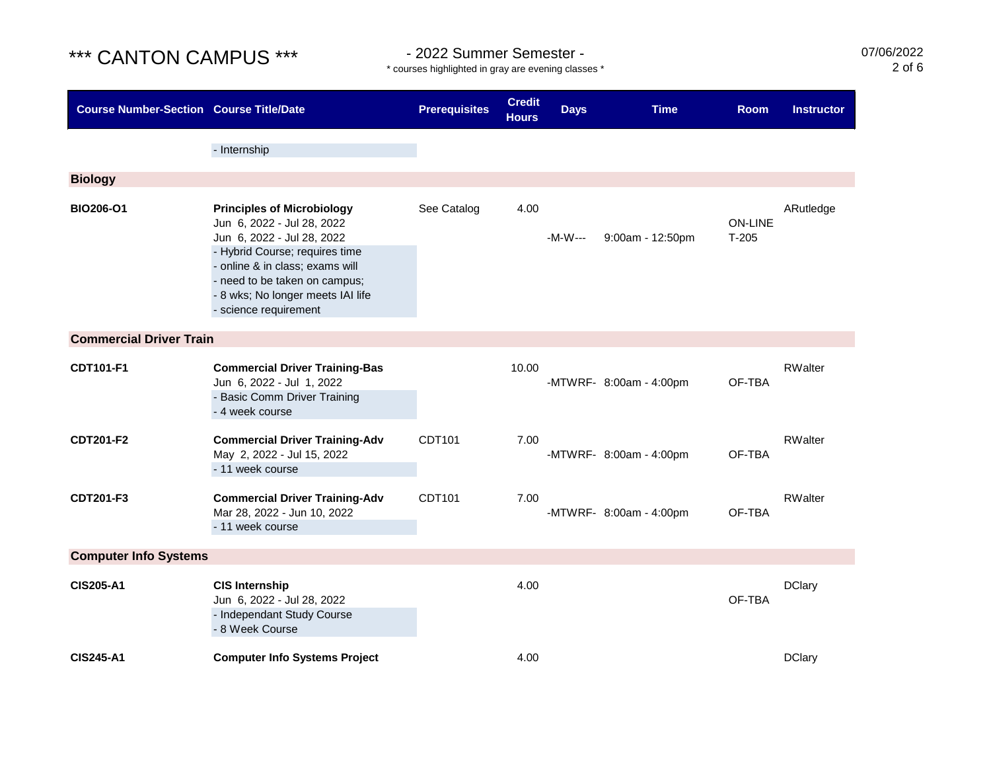\* courses highlighted in gray are evening classes \*

07/06/2022 2 of 6

| <b>Course Number-Section Course Title/Date</b> |                                                                                                                                                                                                                                                                   | <b>Prerequisites</b> | <b>Credit</b><br><b>Hours</b> | <b>Days</b> | <b>Time</b>             | <b>Room</b>               | <b>Instructor</b> |
|------------------------------------------------|-------------------------------------------------------------------------------------------------------------------------------------------------------------------------------------------------------------------------------------------------------------------|----------------------|-------------------------------|-------------|-------------------------|---------------------------|-------------------|
|                                                | - Internship                                                                                                                                                                                                                                                      |                      |                               |             |                         |                           |                   |
| <b>Biology</b>                                 |                                                                                                                                                                                                                                                                   |                      |                               |             |                         |                           |                   |
| <b>BIO206-O1</b>                               | <b>Principles of Microbiology</b><br>Jun 6, 2022 - Jul 28, 2022<br>Jun 6, 2022 - Jul 28, 2022<br>- Hybrid Course; requires time<br>- online & in class; exams will<br>- need to be taken on campus;<br>- 8 wks; No longer meets IAI life<br>- science requirement | See Catalog          | 4.00                          | -M-W---     | 9:00am - 12:50pm        | <b>ON-LINE</b><br>$T-205$ | ARutledge         |
| <b>Commercial Driver Train</b>                 |                                                                                                                                                                                                                                                                   |                      |                               |             |                         |                           |                   |
| CDT101-F1                                      | <b>Commercial Driver Training-Bas</b><br>Jun 6, 2022 - Jul 1, 2022<br>- Basic Comm Driver Training<br>- 4 week course                                                                                                                                             |                      | 10.00                         |             | -MTWRF- 8:00am - 4:00pm | OF-TBA                    | RWalter           |
| <b>CDT201-F2</b>                               | <b>Commercial Driver Training-Adv</b><br>May 2, 2022 - Jul 15, 2022<br>- 11 week course                                                                                                                                                                           | CDT101               | 7.00                          |             | -MTWRF- 8:00am - 4:00pm | OF-TBA                    | <b>RWalter</b>    |
| CDT201-F3                                      | <b>Commercial Driver Training-Adv</b><br>Mar 28, 2022 - Jun 10, 2022<br>- 11 week course                                                                                                                                                                          | CDT101               | 7.00                          |             | -MTWRF- 8:00am - 4:00pm | OF-TBA                    | <b>RWalter</b>    |
| <b>Computer Info Systems</b>                   |                                                                                                                                                                                                                                                                   |                      |                               |             |                         |                           |                   |
| <b>CIS205-A1</b>                               | <b>CIS Internship</b><br>Jun 6, 2022 - Jul 28, 2022<br>- Independant Study Course<br>- 8 Week Course                                                                                                                                                              |                      | 4.00                          |             |                         | OF-TBA                    | <b>DClary</b>     |
| <b>CIS245-A1</b>                               | <b>Computer Info Systems Project</b>                                                                                                                                                                                                                              |                      | 4.00                          |             |                         |                           | <b>DClary</b>     |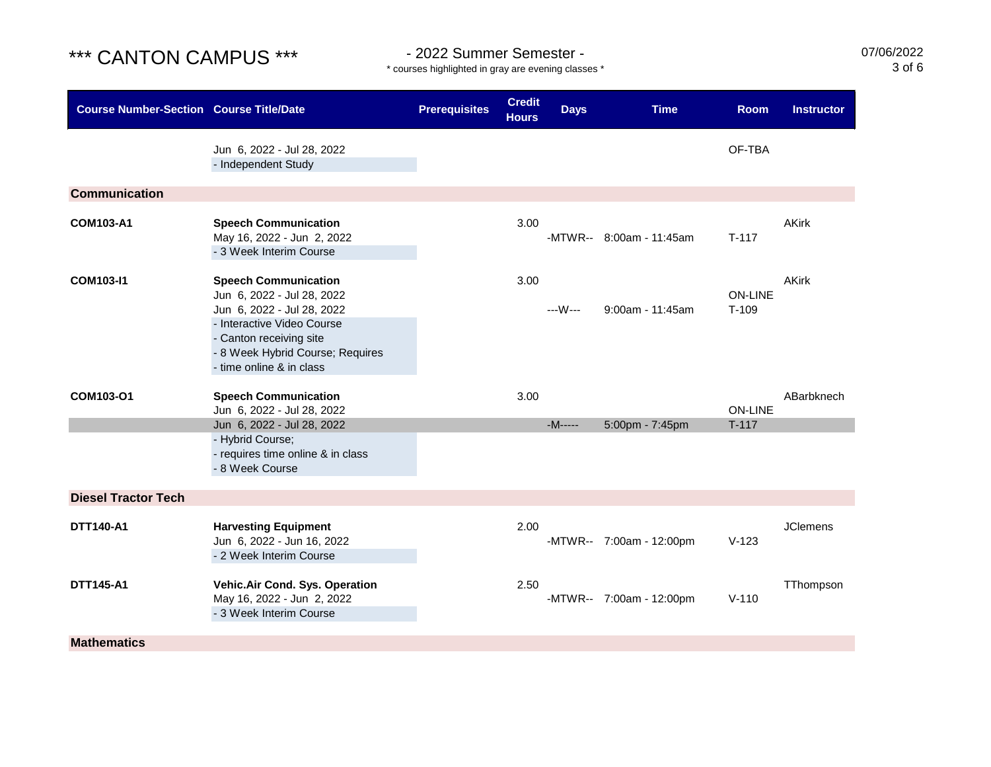\* courses highlighted in gray are evening classes \*

07/06/2022 3 of 6

| <b>Course Number-Section Course Title/Date</b> |                                                                                                                                                                                                                  | <b>Prerequisites</b> | <b>Credit</b><br><b>Hours</b> | <b>Days</b> | <b>Time</b>              | <b>Room</b>               | <b>Instructor</b> |
|------------------------------------------------|------------------------------------------------------------------------------------------------------------------------------------------------------------------------------------------------------------------|----------------------|-------------------------------|-------------|--------------------------|---------------------------|-------------------|
|                                                | Jun 6, 2022 - Jul 28, 2022<br>- Independent Study                                                                                                                                                                |                      |                               |             |                          | OF-TBA                    |                   |
| <b>Communication</b>                           |                                                                                                                                                                                                                  |                      |                               |             |                          |                           |                   |
| <b>COM103-A1</b>                               | <b>Speech Communication</b><br>May 16, 2022 - Jun 2, 2022<br>- 3 Week Interim Course                                                                                                                             |                      | 3.00                          |             | -MTWR-- 8:00am - 11:45am | $T-117$                   | <b>AKirk</b>      |
| <b>COM103-I1</b>                               | <b>Speech Communication</b><br>Jun 6, 2022 - Jul 28, 2022<br>Jun 6, 2022 - Jul 28, 2022<br>- Interactive Video Course<br>- Canton receiving site<br>- 8 Week Hybrid Course; Requires<br>- time online & in class |                      | 3.00                          | ---W---     | $9:00$ am - 11:45am      | <b>ON-LINE</b><br>$T-109$ | <b>AKirk</b>      |
| COM103-O1                                      | <b>Speech Communication</b><br>Jun 6, 2022 - Jul 28, 2022                                                                                                                                                        |                      | 3.00                          |             |                          | <b>ON-LINE</b>            | ABarbknech        |
|                                                | Jun 6, 2022 - Jul 28, 2022<br>- Hybrid Course;<br>- requires time online & in class<br>- 8 Week Course                                                                                                           |                      |                               | $-M$ -----  | 5:00pm - 7:45pm          | $T-117$                   |                   |
| <b>Diesel Tractor Tech</b>                     |                                                                                                                                                                                                                  |                      |                               |             |                          |                           |                   |
| <b>DTT140-A1</b>                               | <b>Harvesting Equipment</b><br>Jun 6, 2022 - Jun 16, 2022<br>- 2 Week Interim Course                                                                                                                             |                      | 2.00                          |             | -MTWR-- 7:00am - 12:00pm | $V-123$                   | <b>JClemens</b>   |
| <b>DTT145-A1</b>                               | Vehic.Air Cond. Sys. Operation<br>May 16, 2022 - Jun 2, 2022<br>- 3 Week Interim Course                                                                                                                          |                      | 2.50                          |             | -MTWR-- 7:00am - 12:00pm | $V-110$                   | TThompson         |
| <b>Mathematics</b>                             |                                                                                                                                                                                                                  |                      |                               |             |                          |                           |                   |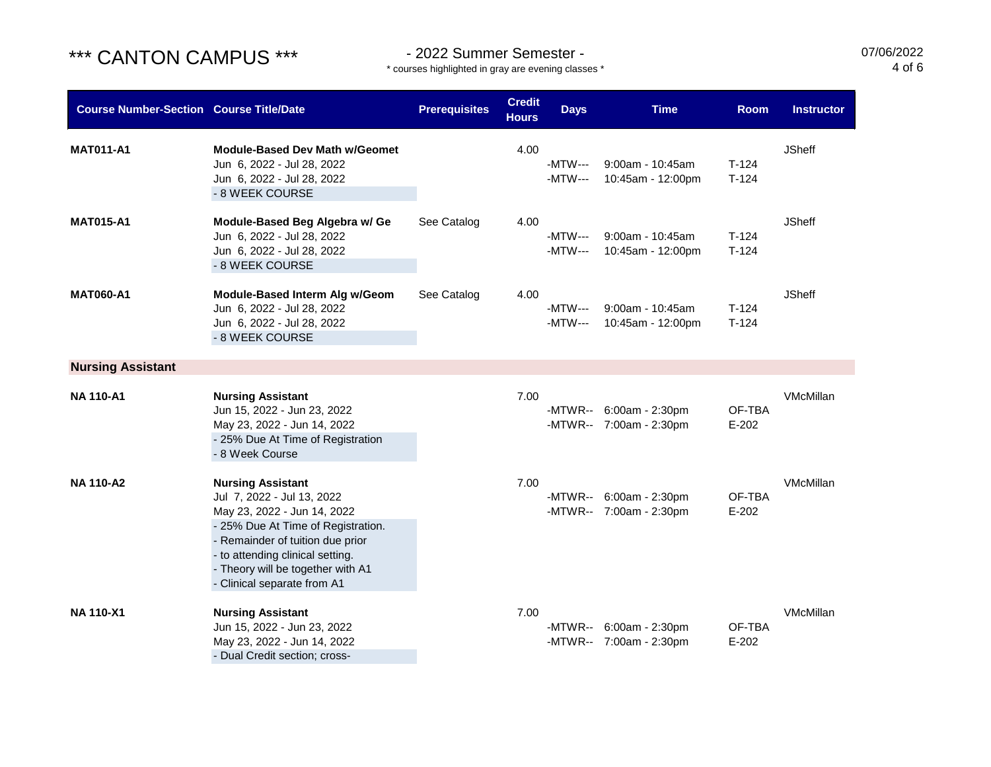\* courses highlighted in gray are evening classes \*

07/06/2022 4 of 6

| <b>Course Number-Section Course Title/Date</b> |                                                                                                                                                                                                                                                                         | <b>Prerequisites</b> | <b>Credit</b><br><b>Hours</b> | <b>Days</b>        | <b>Time</b>                                        | <b>Room</b>        | <b>Instructor</b> |
|------------------------------------------------|-------------------------------------------------------------------------------------------------------------------------------------------------------------------------------------------------------------------------------------------------------------------------|----------------------|-------------------------------|--------------------|----------------------------------------------------|--------------------|-------------------|
| <b>MAT011-A1</b>                               | <b>Module-Based Dev Math w/Geomet</b><br>Jun 6, 2022 - Jul 28, 2022<br>Jun 6, 2022 - Jul 28, 2022<br>- 8 WEEK COURSE                                                                                                                                                    |                      | 4.00                          | -MTW---<br>-MTW--- | $9:00$ am - 10:45am<br>10:45am - 12:00pm           | $T-124$<br>$T-124$ | <b>JSheff</b>     |
| <b>MAT015-A1</b>                               | Module-Based Beg Algebra w/ Ge<br>Jun 6, 2022 - Jul 28, 2022<br>Jun 6, 2022 - Jul 28, 2022<br>- 8 WEEK COURSE                                                                                                                                                           | See Catalog          | 4.00                          | -MTW---<br>-MTW--- | $9:00$ am - 10:45am<br>10:45am - 12:00pm           | $T-124$<br>$T-124$ | <b>JSheff</b>     |
| <b>MAT060-A1</b>                               | Module-Based Interm Alg w/Geom<br>Jun 6, 2022 - Jul 28, 2022<br>Jun 6, 2022 - Jul 28, 2022<br>- 8 WEEK COURSE                                                                                                                                                           | See Catalog          | 4.00                          | -MTW---<br>-MTW--- | 9:00am - 10:45am<br>10:45am - 12:00pm              | $T-124$<br>$T-124$ | <b>JSheff</b>     |
| <b>Nursing Assistant</b>                       |                                                                                                                                                                                                                                                                         |                      |                               |                    |                                                    |                    |                   |
| <b>NA 110-A1</b>                               | <b>Nursing Assistant</b><br>Jun 15, 2022 - Jun 23, 2022<br>May 23, 2022 - Jun 14, 2022<br>- 25% Due At Time of Registration<br>- 8 Week Course                                                                                                                          |                      | 7.00                          |                    | -MTWR-- 6:00am - 2:30pm<br>-MTWR-- 7:00am - 2:30pm | OF-TBA<br>$E-202$  | VMcMillan         |
| <b>NA 110-A2</b>                               | <b>Nursing Assistant</b><br>Jul 7, 2022 - Jul 13, 2022<br>May 23, 2022 - Jun 14, 2022<br>- 25% Due At Time of Registration.<br>- Remainder of tuition due prior<br>- to attending clinical setting.<br>- Theory will be together with A1<br>- Clinical separate from A1 |                      | 7.00                          |                    | -MTWR-- 6:00am - 2:30pm<br>-MTWR-- 7:00am - 2:30pm | OF-TBA<br>$E-202$  | VMcMillan         |
| <b>NA 110-X1</b>                               | <b>Nursing Assistant</b><br>Jun 15, 2022 - Jun 23, 2022<br>May 23, 2022 - Jun 14, 2022<br>- Dual Credit section; cross-                                                                                                                                                 |                      | 7.00                          |                    | -MTWR-- 6:00am - 2:30pm<br>-MTWR-- 7:00am - 2:30pm | OF-TBA<br>$E-202$  | VMcMillan         |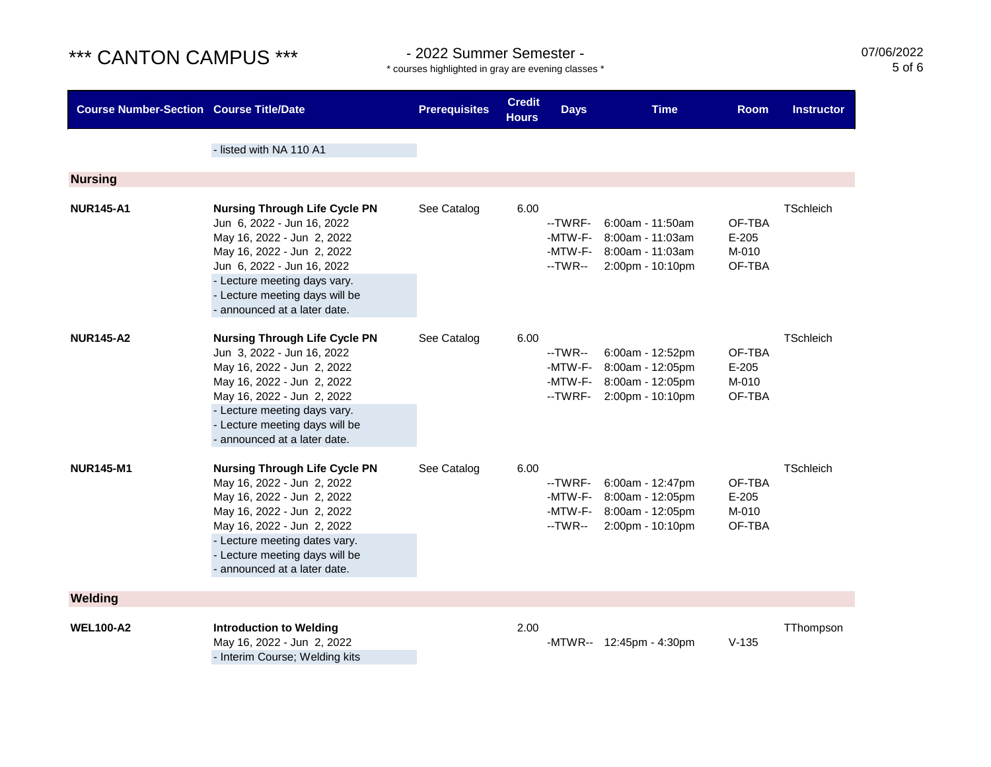\* courses highlighted in gray are evening classes \*

07/06/2022 5 of 6

| <b>Course Number-Section Course Title/Date</b> |                                                                                                                                                                                                                                                                 | <b>Prerequisites</b> | <b>Credit</b><br><b>Hours</b> | <b>Days</b>                              | <b>Time</b>                                                                                  | <b>Room</b>                          | <b>Instructor</b> |
|------------------------------------------------|-----------------------------------------------------------------------------------------------------------------------------------------------------------------------------------------------------------------------------------------------------------------|----------------------|-------------------------------|------------------------------------------|----------------------------------------------------------------------------------------------|--------------------------------------|-------------------|
|                                                | - listed with NA 110 A1                                                                                                                                                                                                                                         |                      |                               |                                          |                                                                                              |                                      |                   |
| <b>Nursing</b>                                 |                                                                                                                                                                                                                                                                 |                      |                               |                                          |                                                                                              |                                      |                   |
| <b>NUR145-A1</b>                               | <b>Nursing Through Life Cycle PN</b><br>Jun 6, 2022 - Jun 16, 2022<br>May 16, 2022 - Jun 2, 2022<br>May 16, 2022 - Jun 2, 2022<br>Jun 6, 2022 - Jun 16, 2022<br>- Lecture meeting days vary.<br>- Lecture meeting days will be<br>- announced at a later date.  | See Catalog          | 6.00                          | --TWRF-<br>-MTW-F-<br>-MTW-F-<br>--TWR-- | $6:00am - 11:50am$<br>8:00am - 11:03am<br>8:00am - 11:03am<br>2:00pm - 10:10pm               | OF-TBA<br>$E-205$<br>M-010<br>OF-TBA | <b>TSchleich</b>  |
| <b>NUR145-A2</b>                               | <b>Nursing Through Life Cycle PN</b><br>Jun 3, 2022 - Jun 16, 2022<br>May 16, 2022 - Jun 2, 2022<br>May 16, 2022 - Jun 2, 2022<br>May 16, 2022 - Jun 2, 2022<br>- Lecture meeting days vary.<br>- Lecture meeting days will be<br>- announced at a later date.  | See Catalog          | 6.00                          | --TWR--<br>-MTW-F-<br>--TWRF-            | 6:00am - 12:52pm<br>8:00am - 12:05pm<br>-MTW-F- 8:00am - 12:05pm<br>2:00pm - 10:10pm         | OF-TBA<br>$E-205$<br>M-010<br>OF-TBA | TSchleich         |
| <b>NUR145-M1</b>                               | <b>Nursing Through Life Cycle PN</b><br>May 16, 2022 - Jun 2, 2022<br>May 16, 2022 - Jun 2, 2022<br>May 16, 2022 - Jun 2, 2022<br>May 16, 2022 - Jun 2, 2022<br>- Lecture meeting dates vary.<br>- Lecture meeting days will be<br>- announced at a later date. | See Catalog          | 6.00                          | --TWRF-<br>--TWR--                       | 6:00am - 12:47pm<br>-MTW-F- 8:00am - 12:05pm<br>-MTW-F- 8:00am - 12:05pm<br>2:00pm - 10:10pm | OF-TBA<br>$E-205$<br>M-010<br>OF-TBA | <b>TSchleich</b>  |
| Welding                                        |                                                                                                                                                                                                                                                                 |                      |                               |                                          |                                                                                              |                                      |                   |
| <b>WEL100-A2</b>                               | <b>Introduction to Welding</b><br>May 16, 2022 - Jun 2, 2022<br>- Interim Course; Welding kits                                                                                                                                                                  |                      | 2.00                          |                                          | -MTWR-- 12:45pm - 4:30pm                                                                     | $V-135$                              | TThompson         |